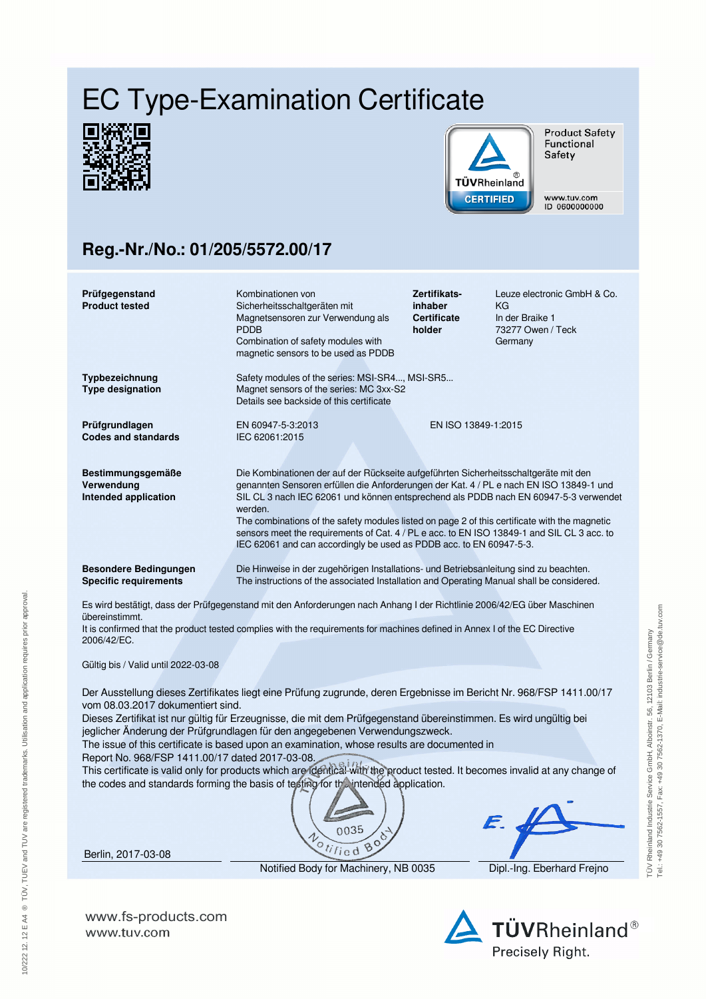## EC Type-Examination Certificate





**Product Safety** Functional Safety

www.tuv.com ID 0600000000

## **Reg.-Nr./No.: 01/205/5572.00/17**

| Prüfgegenstand<br><b>Product tested</b>                                                                                                                                                                                                                                                                                                                                                                                                                                                                                                                                                                                                                                                                                                                 | Kombinationen von<br>Sicherheitsschaltgeräten mit<br>Magnetsensoren zur Verwendung als<br><b>PDDB</b><br>Combination of safety modules with<br>magnetic sensors to be used as PDDB                                                                                                                                                                                                                                                                                                                                                                       | Zertifikats-<br>inhaber<br><b>Certificate</b><br>holder | Leuze electronic GmbH & Co.<br>KG<br>In der Braike 1<br>73277 Owen / Teck<br>Germany |  |
|---------------------------------------------------------------------------------------------------------------------------------------------------------------------------------------------------------------------------------------------------------------------------------------------------------------------------------------------------------------------------------------------------------------------------------------------------------------------------------------------------------------------------------------------------------------------------------------------------------------------------------------------------------------------------------------------------------------------------------------------------------|----------------------------------------------------------------------------------------------------------------------------------------------------------------------------------------------------------------------------------------------------------------------------------------------------------------------------------------------------------------------------------------------------------------------------------------------------------------------------------------------------------------------------------------------------------|---------------------------------------------------------|--------------------------------------------------------------------------------------|--|
| Typbezeichnung<br><b>Type designation</b>                                                                                                                                                                                                                                                                                                                                                                                                                                                                                                                                                                                                                                                                                                               | Safety modules of the series: MSI-SR4, MSI-SR5<br>Magnet sensors of the series: MC 3xx-S2<br>Details see backside of this certificate                                                                                                                                                                                                                                                                                                                                                                                                                    |                                                         |                                                                                      |  |
| Prüfgrundlagen<br><b>Codes and standards</b>                                                                                                                                                                                                                                                                                                                                                                                                                                                                                                                                                                                                                                                                                                            | EN 60947-5-3:2013<br>IEC 62061:2015                                                                                                                                                                                                                                                                                                                                                                                                                                                                                                                      | EN ISO 13849-1:2015                                     |                                                                                      |  |
| Bestimmungsgemäße<br>Verwendung<br>Intended application                                                                                                                                                                                                                                                                                                                                                                                                                                                                                                                                                                                                                                                                                                 | Die Kombinationen der auf der Rückseite aufgeführten Sicherheitsschaltgeräte mit den<br>genannten Sensoren erfüllen die Anforderungen der Kat. 4 / PL e nach EN ISO 13849-1 und<br>SIL CL 3 nach IEC 62061 und können entsprechend als PDDB nach EN 60947-5-3 verwendet<br>werden.<br>The combinations of the safety modules listed on page 2 of this certificate with the magnetic<br>sensors meet the requirements of Cat. 4 / PL e acc. to EN ISO 13849-1 and SIL CL 3 acc. to<br>IEC 62061 and can accordingly be used as PDDB acc. to EN 60947-5-3. |                                                         |                                                                                      |  |
| <b>Besondere Bedingungen</b><br><b>Specific requirements</b>                                                                                                                                                                                                                                                                                                                                                                                                                                                                                                                                                                                                                                                                                            | Die Hinweise in der zugehörigen Installations- und Betriebsanleitung sind zu beachten.<br>The instructions of the associated Installation and Operating Manual shall be considered.                                                                                                                                                                                                                                                                                                                                                                      |                                                         |                                                                                      |  |
| Es wird bestätigt, dass der Prüfgegenstand mit den Anforderungen nach Anhang I der Richtlinie 2006/42/EG über Maschinen<br>übereinstimmt.<br>It is confirmed that the product tested complies with the requirements for machines defined in Annex I of the EC Directive<br>2006/42/EC.<br>Gültig bis / Valid until 2022-03-08                                                                                                                                                                                                                                                                                                                                                                                                                           |                                                                                                                                                                                                                                                                                                                                                                                                                                                                                                                                                          |                                                         |                                                                                      |  |
| Der Ausstellung dieses Zertifikates liegt eine Prüfung zugrunde, deren Ergebnisse im Bericht Nr. 968/FSP 1411.00/17<br>vom 08.03.2017 dokumentiert sind.<br>Dieses Zertifikat ist nur gültig für Erzeugnisse, die mit dem Prüfgegenstand übereinstimmen. Es wird ungültig bei<br>jeglicher Änderung der Prüfgrundlagen für den angegebenen Verwendungszweck.<br>The issue of this certificate is based upon an examination, whose results are documented in<br>Report No. 968/FSP 1411.00/17 dated 2017-03-08.<br>This certificate is valid only for products which are identical with the product tested. It becomes invalid at any change of<br>the codes and standards forming the basis of testing for the intended application.<br>$\sqrt{2}$<br>F |                                                                                                                                                                                                                                                                                                                                                                                                                                                                                                                                                          |                                                         |                                                                                      |  |





Berlin, 2017-03-08

10/222 12. 12 E A4 ® TÜV, TUEV and TUV are registered trademarks. Utilisation and application requires prior approval.

10/22212.12 E A4 ® TÜV, TUEV and TUV are registered trademarks. Utilisation and application requires prior approval.

Notified Body for Machinery, NB 0035 Dipl.-Ing. Eberhard Frejno

**www.fs-products.com** www.tuv.com



Tel.: +49 30 7562-1557, Fax: +49 30 7562-1370, E-Mail: industrie-service@de.tuv.com